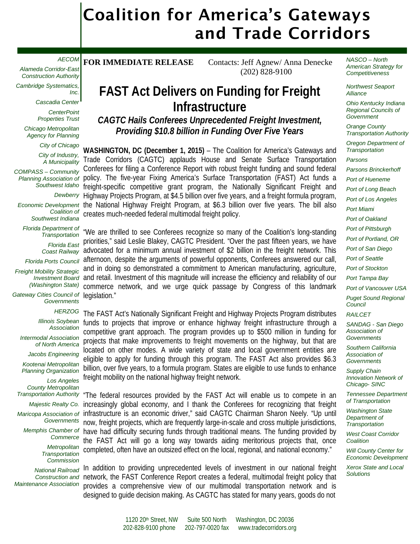# Coalition for America's Gateways and Trade Corridors

#### *AECOM*

*Alameda Corridor-East Construction Authority*

*Cambridge Systematics, Inc.*

*Cascadia Center*

*CenterPoint Properties Trust*

*Chicago Metropolitan Agency for Planning*

*City of Chicago*

*City of Industry, A Municipality*

*COMPASS – Community Planning Association of Southwest Idaho*

*Dewberry*

*Economic Development Coalition of Southwest Indiana*

*Florida Department of Transportation*

*Florida East* 

*Coast Railway*

*Florida Ports Council Freight Mobility Strategic* 

*Investment Board (Washington State)*

*Gateway Cities Council of Governments*

*HERZOG*

*Illinois Soybean Association*

*Intermodal Association of North America*

*Jacobs Engineering*

*Kootenai Metropolitan Planning Organization*

*Los Angeles County Metropolitan Transportation Authority*

*Majestic Realty Co.*

*Maricopa Association of Governments*

*Memphis Chamber of Commerce*

> *Metropolitan Transportation Commission*

*National Railroad Maintenance Association*

FOR IMMEDIATE RELEASE Contacts: Jeff Agnew/ Anna Denecke (202) 828-9100

## **FAST Act Delivers on Funding for Freight Infrastructure**

*CAGTC Hails Conferees Unprecedented Freight Investment, Providing \$10.8 billion in Funding Over Five Years*

**WASHINGTON, DC (December 1, 2015)** – The Coalition for America's Gateways and Trade Corridors (CAGTC) applauds House and Senate Surface Transportation Conferees for filing a Conference Report with robust freight funding and sound federal policy. The five-year Fixing America's Surface Transportation (FAST) Act funds a freight-specific competitive grant program, the Nationally Significant Freight and Highway Projects Program, at \$4.5 billion over five years, and a freight formula program, the National Highway Freight Program, at \$6.3 billion over five years. The bill also creates much-needed federal multimodal freight policy.

"We are thrilled to see Conferees recognize so many of the Coalition's long-standing priorities," said Leslie Blakey, CAGTC President. "Over the past fifteen years, we have advocated for a minimum annual investment of \$2 billion in the freight network. This afternoon, despite the arguments of powerful opponents, Conferees answered our call, and in doing so demonstrated a commitment to American manufacturing, agriculture, and retail. Investment of this magnitude will increase the efficiency and reliability of our commerce network, and we urge quick passage by Congress of this landmark legislation."

The FAST Act's Nationally Significant Freight and Highway Projects Program distributes funds to projects that improve or enhance highway freight infrastructure through a competitive grant approach. The program provides up to \$500 million in funding for projects that make improvements to freight movements on the highway, but that are located on other modes. A wide variety of state and local government entities are eligible to apply for funding through this program. The FAST Act also provides \$6.3 billion, over five years, to a formula program. States are eligible to use funds to enhance freight mobility on the national highway freight network.

"The federal resources provided by the FAST Act will enable us to compete in an increasingly global economy, and I thank the Conferees for recognizing that freight infrastructure is an economic driver," said CAGTC Chairman Sharon Neely. "Up until now, freight projects, which are frequently large-in-scale and cross multiple jurisdictions, have had difficulty securing funds through traditional means. The funding provided by the FAST Act will go a long way towards aiding meritorious projects that, once completed, often have an outsized effect on the local, regional, and national economy."

Construction and network, the FAST Conference Report creates a federal, multimodal freight policy that In addition to providing unprecedented levels of investment in our national freight provides a comprehensive view of our multimodal transportation network and is designed to guide decision making. As CAGTC has stated for many years, goods do not

*NASCO – North American Strategy for Competitiveness*

*Northwest Seaport Alliance*

*Ohio Kentucky Indiana Regional Councils of Government* 

*Orange County Transportation Authority* 

*Oregon Department of Transportation*

*Parsons Parsons Brinckerhoff Port of Hueneme Port of Long Beach Port of Los Angeles Port Miami Port of Oakland Port of Pittsburgh Port of Portland, OR Port of San Diego Port of Seattle Port of Stockton Port Tampa Bay Port of Vancouver USA Puget Sound Regional Council RAILCET SANDAG - San Diego Association of Governments*

*Southern California Association of Governments*

*Supply Chain Innovation Network of Chicago- SINC*

*Tennessee Department of Transportation*

*Washington State Department of Transportation*

*West Coast Corridor Coalition*

*Will County Center for Economic Development*

*Xerox State and Local Solutions*